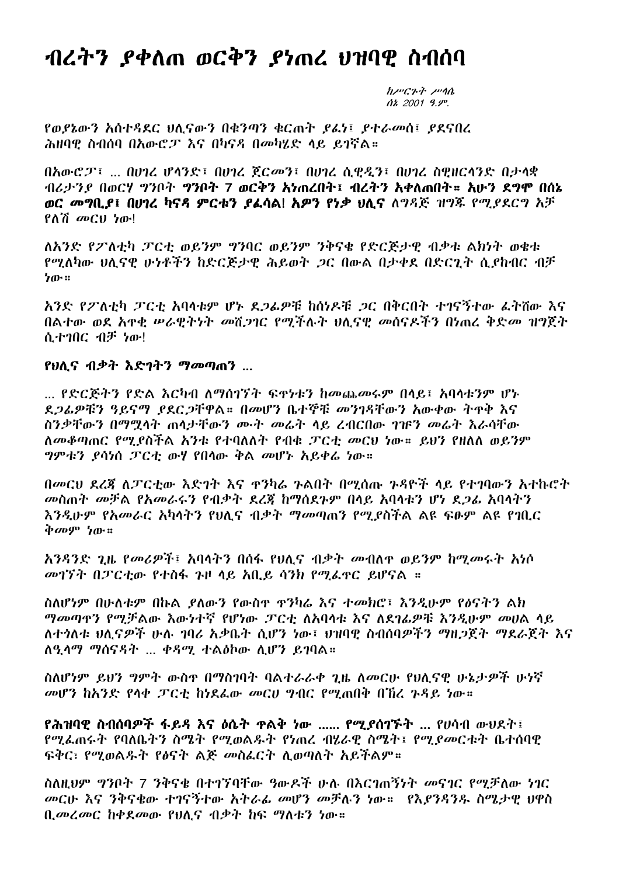## ብረትን ያቀለጠ ወርቅን ያነጠረ ህዝባዊ ስብሰባ

 $h\nu C$ *k*<sup>t</sup>  $\nu$ <sup>n</sup>  $\Delta z$  2001 9.9%

የወያኔውን አሰተዳደር ህሊናውን በቁንጣን ቁርጠት ያፊነ፤ ያተራመሰ፤ ያደናበረ ሕዝባዋ ስብሰባ በአውሮፓ እና በካናዳ በመካሂድ ላይ ይገኛል።

 $\theta$ አውሮፓ፤ ...  $\theta$ ሀገሪ ሆላንድ፤  $\theta$ ሀገሪ ጀርመን፤  $\theta$ ሀገሪ ሲዊዲን፤  $\theta$ ሀገሪ ስዊዘርላንድ  $\theta$ ታላቋ ብሪታንያ በወርሃ ግንቦት ግንቦት 7 ወርቅን አነጠረበት፤ ብረትን አቀለጠበት። አሁን ደግሞ በሰኔ ወር መግቢያ፤ በሀገረ ካናዳ ምርቱን ያፌሳል! አዎን የነቃ ሀሲና ለግዳጅ ዝግጁ የሚያደርግ አቻ  $?^{\dagger}$  መርህ ነው!

ለአንድ የፖለቲካ ፓርቲ ወይንም ግንባር ወይንም ንቅናቄ የድርጅታዊ ብቃቱ ልክነት ወቄቱ የሚለካው ህሊናዊ ሁነቶችን ከድርጅታዊ ሕይወት ጋር በውል በታቀደ በድርጊት ሲያከብር ብቻ  $b^{\text{th}}$ 

አንድ የፖለቲካ ፓርቲ አባላቱም ሆኑ ደጋፊዎቹ ከሰነዶቹ ጋር በቅርበት ተገናኝተው ፌትሽው እና በልተው ወደ አዋቂ ሥራዊትነት መሽጋገር የሚችሉት ህሊናዊ መሰናዶችን በነጠረ ቅድመ ዝግጀት ለ ትንበር ብቻ ነው!

## የህሊና ብቃት እድገትን ማመጣጠን ...

... የድርጅትን የድል እርካብ ለማስገኘት ፍቀነቱን ከመጨመሩም በላይ፤ አባላቱንም ሆኑ ደጋፊዎቹን ዓይናማ ያደር ጋቸዋል። በመሆን ቤተኞቹ መንገዳቸውን አውቀው ትጥቅ እና ስንቃቸውን በማሟላት ጠሳታቸውን ሙት መሬት ላይ ረብርበው ገገFን መሬት እራሳቸው ለመቆጣጠር የሚደስችል አንቱ የተባለለት የብቁ ፓርቲ መርህ ነው። ይህን የዘለለ ወይንም *ግምቱን ያ*ሳነሰ *ፓ*ርቲ ውሃ የበሳው ቅል መሆኑ አይቀሬ ነው።

በመርህ ደረጃ ለፓርቲው እድገት እና ዋንካሬ ጉልበት በሚሰጡ ጉዳዮች ላይ የተገባውን አተኩሮት መስጠት መቻል የአመራሩን የብቃት ደረጀ ከማሰደጉም በላይ አባላቱን ሆነ ደጋፌ አባላትን እንዲሁም የአመራር አካላትን የህሊና ብቃት ማመጣጠን የሚያስችል ልዩ ፍፁም ልዩ የኀቢር ቅመም ነው።

አንዳንድ ጊዜ የመሪዎች፤ አባላትን በሰፋ የህሊና ብቃት መብለዋ ወይንም ከሚመሩት አነሶ መገኘት በፓርቲው የተስፋ ጉዞ ላይ አቢይ ሳንክ የሚፈዋር ይሆናል ።

ስለሆነም በሁለቱም በኩል ያለውን የውስዋ ዋንካሬ እና ተመክሮ፤ እንዲሁም የፅናትን ልክ ማመጣዋን የሚቻልው እውነተኛ የሆነው ፓርቲ ለአባላቱ እና ለደገራዎቹ እንዲሁም መሀል ላይ ለተሳለቱ ህለናዎች ሁሉ ኅባሪ አቃቤት ሲሆን ነው፤ ህዝባዋ ስብሰባዎችን ማዘጋጀት ማደራጀት እና ለዒሳማ ማሰናዳት ... ቀዳሚ ተልዕኮው ሲሆን ይገባል።

ስለሆነም ይህን ግምት ውስዋ በማስገባት ባልተራራቀ ጊዜ ለመርሁ የህሊናዊ ሁኔታዎች ሁነኛ መሆን ከአንድ የላቀ ፓርቲ ከነደፌው መርሀ ግብር የሚጠበቅ በኸረ ጉዳይ ነው።

የሕዝባዊ ስብሰባዎች ፋይዳ እና ዕሴት ዋልቅ ነው ...... የሚያሰገኙት ... የሀሳብ ውህደት፤ የማፌጠሩት የባለቤትን ስሜት የማወልዱት የነጠረ ብሂራዊ ስሜት፤ የማደመርቱት ቤተሰባዊ ፍቅር፣ የሚወልዱት የፅናት ልጅ መስፌርት ሲወጣለት አይችልም።

ስለዚህም ግንቦት 7 ንቅናቄ በተገኘባቸው ዓውዶች ሁሉ በእርገጠኝነት መናገር የሚቻለው ነገር መርሁ እና ንቅናቄው ተገናኝተው አትራፊ መሆን መቻሉን ነው። የእያንዳንዱ ስሜታዊ ህዋስ ቢመረመር ከቀደመው የህሊና ብቃት ከፍ ማለቱን ነው።